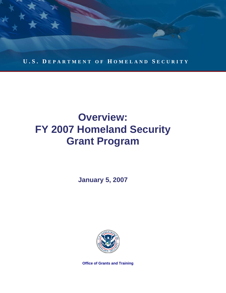

# **Overview: FY 2007 Homeland Security Grant Program**

**January 5, 2007** 



**Office of Grants and Training**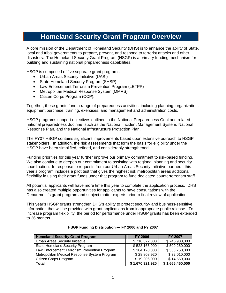# **Homeland Security Grant Program Overview**

A core mission of the Department of Homeland Security (DHS) is to enhance the ability of State, local and tribal governments to prepare, prevent, and respond to terrorist attacks and other disasters. The Homeland Security Grant Program (HSGP) is a primary funding mechanism for building and sustaining national preparedness capabilities.

HSGP is comprised of five separate grant programs:

- Urban Areas Security Initiative (UASI)
- State Homeland Security Program (SHSP)
- Law Enforcement Terrorism Prevention Program (LETPP)
- Metropolitan Medical Response System (MMRS)
- Citizen Corps Program (CCP).

Together, these grants fund a range of preparedness activities, including planning, organization, equipment purchase, training, exercises, and management and administration costs.

HSGP programs support objectives outlined in the National Preparedness Goal and related national preparedness doctrine, such as the National Incident Management System, National Response Plan, and the National Infrastructure Protection Plan.

The FY07 HSGP contains significant improvements based upon extensive outreach to HSGP stakeholders. In addition, the risk assessments that form the basis for eligibility under the HSGP have been simplified, refined, and considerably strengthened.

Funding priorities for this year further improve our primary commitment to risk-based funding. We also continue to deepen our commitment to assisting with regional planning and security coordination. In response to requests from our Urban Areas Security Initiative partners, this year's program includes a pilot test that gives the highest risk metropolitan areas additional flexibility in using their grant funds under that program to fund dedicated counterterrorism staff.

All potential applicants will have more time this year to complete the application process. DHS has also created multiple opportunities for applicants to have consultations with the Department's grant program and subject matter experts prior to final review of applications.

This year's HSGP grants strengthen DHS's ability to protect security- and business-sensitive information that will be provided with grant applications from inappropriate public release. To increase program flexibility, the period for performance under HSGP grants has been extended to 36 months.

| <b>Homeland Security Grant Program</b>       | <b>FY 2006</b>  | <b>FY 2007</b>  |
|----------------------------------------------|-----------------|-----------------|
| Urban Areas Security Initiative              | \$710,622,000   | \$746,900,000   |
| State Homeland Security Program              | \$528,165,000   | \$509,250,000   |
| Law Enforcement Terrorism Prevention Program | \$384,120,000   | \$363,750,000   |
| Metropolitan Medical Response System Program | \$28,808,920    | \$32,010,000    |
| Citizen Corps Program                        | \$19,206,000    | \$14,550,000    |
| Total                                        | \$1,670,921,920 | \$1,666,460,000 |

#### **HSGP Funding Distribution — FY 2006 and FY 2007**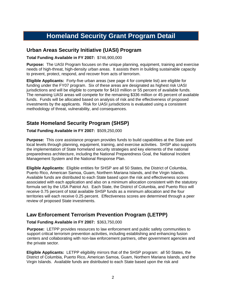# **Homeland Security Grant Program Detail**

### **Urban Areas Security Initiative (UASI) Program**

#### **Total Funding Available in FY 2007:** \$746,900,000

**Purpose:** The UASI Program focuses on the unique planning, equipment, training and exercise needs of high-threat, high-density urban areas. It assists them in building sustainable capacity to prevent, protect, respond, and recover from acts of terrorism.

**Eligible Applicants:** Forty-five urban areas (see page 4 for complete list) are eligible for funding under the FY07 program. Six of these areas are designated as highest risk UASI jurisdictions and will be eligible to compete for \$410 million or 55 percent of available funds. The remaining UASI areas will compete for the remaining \$336 million or 45 percent of available funds. Funds will be allocated based on analysis of risk and the effectiveness of proposed investments by the applicants. Risk for UASI jurisdictions is evaluated using a consistent methodology of threat, vulnerability, and consequences.

## **State Homeland Security Program (SHSP)**

**Total Funding Available in FY 2007:** \$509,250,000

**Purpose:** This core assistance program provides funds to build capabilities at the State and local levels through planning, equipment, training, and exercise activities. SHSP also supports the implementation of State homeland security strategies and key elements of the national preparedness architecture, including the National Preparedness Goal, the National Incident Management System and the National Response Plan.

**Eligible Applicants:** Eligible entities for SHSP are all 50 States, the District of Columbia, Puerto Rico, American Samoa, Guam, Northern Mariana Islands, and the Virgin Islands. Available funds are distributed to each State based upon the risk and effectiveness scores associated with each application and also on a minimum allocation consistent with the statutory formula set by the USA Patriot Act. Each State, the District of Columbia, and Puerto Rico will receive 0.75 percent of total available SHSP funds as a minimum allocation and the four territories will each receive 0.25 percent. Effectiveness scores are determined through a peer review of proposed State investments.

# **Law Enforcement Terrorism Prevention Program (LETPP)**

#### **Total Funding Available in FY 2007:** \$363,750,000

**Purpose:** LETPP provides resources to law enforcement and public safety communities to support critical terrorism prevention activities, including establishing and enhancing fusion centers and collaborating with non-law enforcement partners, other government agencies and the private sector.

**Eligible Applicants:** LETPP eligibility mirrors that of the SHSP program: all 50 States, the District of Columbia, Puerto Rico, American Samoa, Guam, Northern Mariana Islands, and the Virgin Islands. Available funds are distributed to each State based upon the risk and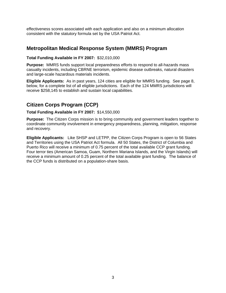effectiveness scores associated with each application and also on a minimum allocation consistent with the statutory formula set by the USA Patriot Act.

### **Metropolitan Medical Response System (MMRS) Program**

#### **Total Funding Available in FY 2007:** \$32,010,000

**Purpose:** MMRS funds support local preparedness efforts to respond to all-hazards mass casualty incidents, including CBRNE terrorism, epidemic disease outbreaks, natural disasters and large-scale hazardous materials incidents.

**Eligible Applicants:** As in past years, 124 cities are eligible for MMRS funding. See page 8, below, for a complete list of all eligible jurisdictions. Each of the 124 MMRS jurisdictions will receive \$258,145 to establish and sustain local capabilities.

# **Citizen Corps Program (CCP)**

#### **Total Funding Available in FY 2007:** \$14,550,000

**Purpose:** The Citizen Corps mission is to bring community and government leaders together to coordinate community involvement in emergency preparedness, planning, mitigation, response and recovery.

**Eligible Applicants:** Like SHSP and LETPP, the Citizen Corps Program is open to 56 States and Territories using the USA Patriot Act formula. All 50 States, the District of Columbia and Puerto Rico will receive a minimum of 0.75 percent of the total available CCP grant funding. Four terror ties (American Samoa, Guam, Northern Mariana Islands, and the Virgin Islands) will receive a minimum amount of 0.25 percent of the total available grant funding. The balance of the CCP funds is distributed on a population-share basis.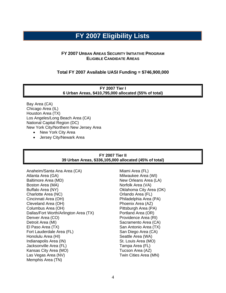# **FY 2007 Eligibility Lists**

#### **FY 2007 URBAN AREAS SECURITY INITIATIVE PROGRAM ELIGIBLE CANDIDATE AREAS**

#### **Total FY 2007 Available UASI Funding = \$746,900,000**

**FY 2007 Tier I 6 Urban Areas, \$410,795,000 allocated (55% of total)** 

Bay Area (CA) Chicago Area (IL) Houston Area (TX) Los Angeles/Long Beach Area (CA) National Capital Region (DC) New York City/Northern New Jersey Area

- New York City Area
- Jersey City/Newark Area

#### **FY 2007 Tier II 39 Urban Areas, \$336,105,000 allocated (45% of total)**

Anaheim/Santa Ana Area (CA) Atlanta Area (GA) Baltimore Area (MD) Boston Area (MA) Buffalo Area (NY) Charlotte Area (NC) Cincinnati Area (OH) Cleveland Area (OH) Columbus Area (OH) Dallas/Fort Worth/Arlington Area (TX) Denver Area (CO) Detroit Area (MI) El Paso Area (TX) Fort Lauderdale Area (FL) Honolulu Area (HI) Indianapolis Area (IN) Jacksonville Area (FL) Kansas City Area (MO) Las Vegas Area (NV) Memphis Area (TN)

Miami Area (FL) Milwaukee Area (WI) New Orleans Area (LA) Norfolk Area (VA) Oklahoma City Area (OK) Orlando Area (FL) Philadelphia Area (PA) Phoenix Area (AZ) Pittsburgh Area (PA) Portland Area (OR) Providence Area (RI) Sacramento Area (CA) San Antonio Area (TX) San Diego Area (CA) Seattle Area (WA) St. Louis Area (MO) Tampa Area (FL) Tucson Area (AZ) Twin Cities Area (MN)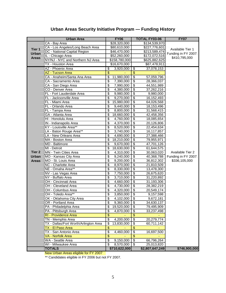|                   | <b>Urban Area</b>                     | <b>FY06</b>                  | <b>TOTAL FY03-06</b>                           | <b>FY07</b>         |  |
|-------------------|---------------------------------------|------------------------------|------------------------------------------------|---------------------|--|
|                   | CA - Bay Area                         | \$28,320,000                 | \$134,539,970                                  |                     |  |
| Tier 1            | CA - Los Angeles/Long Beach Area      | \$80,610,000                 | \$227,776,601                                  | Available Tier 1    |  |
|                   | DC - National Capital Region          | \$46,470,000                 | \$213,589,474                                  |                     |  |
| Urban             | IL - Chicago Area                     | \$52,260,000                 | \$172,072,516                                  | Funding in FY 2007: |  |
| <b>Areas</b>      | NY/NJ - NYC and Northern NJ Area      | \$158,780,000                | \$625,882,625                                  |                     |  |
|                   | TX - Houston Area                     | \$16,670,000                 | \$87,478,911                                   |                     |  |
|                   | AZ - Phoenix Area                     | \$<br>$\overline{3,920,000}$ | \$<br>37,078,153                               | \$410,795,000       |  |
|                   | <b>AZ - Tucson Area</b>               | \$                           | $\frac{1}{2}$                                  |                     |  |
|                   | CA - Anaheim/Santa Ana Area           | \$<br>11,980,000             | $\overline{\boldsymbol{\theta}}$<br>57,059,796 |                     |  |
|                   | CA - Sacramento Area                  | \$<br>7,390,000              | $\overline{\boldsymbol{\theta}}$<br>28,366,037 |                     |  |
|                   | CA - San Diego Area                   | \$<br>7,990,000              | $\overline{\$}$<br>44,551,989                  |                     |  |
|                   | CO - Denver Area                      | \$<br>4,380,000              | $\overline{\boldsymbol{\theta}}$<br>37,262,216 |                     |  |
|                   | FL - Fort Lauderdale Area             | \$<br>9,980,000              | $\overline{\mathcal{S}}$<br>9,980,000          |                     |  |
|                   | FL - Jacksonville Area                | \$<br>9,270,000              | $\overline{\mathcal{G}}$<br>16,152,493         |                     |  |
|                   | FL - Miami Area                       | \$<br>15,980,000             | $\overline{\mathcal{S}}$<br>64,026,568         |                     |  |
|                   | FL - Orlando Area                     | \$<br>9,440,000              | $\overline{\mathcal{E}}$<br>18,153,496         |                     |  |
|                   | FL - Tampa Area                       | \$<br>8,800,000              | $\overline{\boldsymbol{\theta}}$<br>31,568,415 |                     |  |
|                   | GA - Atlanta Area                     | \$<br>18,660,000             | $\overline{\boldsymbol{\theta}}$<br>42,458,356 |                     |  |
|                   | HI - Honolulu Area                    | \$<br>4,760,000              | $\overline{\$}$<br>18,085,654                  |                     |  |
|                   | IN - Indianapolis Area                | \$<br>4,370,000              | $\overline{\$}$<br>20,126,806                  |                     |  |
|                   | KY - Louisville Area**                | \$<br>8,520,000              | $\overline{\boldsymbol{\theta}}$<br>22,454,634 |                     |  |
|                   | LA - Baton Rouge Area**               | \$<br>3,740,000              | $\overline{\$}$<br>16,117,857                  |                     |  |
|                   | LA - New Orleans Area                 | \$<br>4,690,000              | $\overline{\mathbf{e}}$<br>27,388,466          |                     |  |
|                   | MA - Boston Area                      | \$<br>18,210,000             | $\overline{\$}$<br>79,955,971                  |                     |  |
|                   | MD - Baltimore                        | \$<br>9,670,000              | \$<br>47,701,126                               |                     |  |
|                   | MI - Detroit                          | \$<br>18,630,000             | \$<br>61,644,575                               |                     |  |
| Tier <sub>2</sub> | MN - Twin Cities Area                 | \$<br>4,310,000              | $\overline{\boldsymbol{\theta}}$<br>30,063,020 | Available Tier 2    |  |
| Urban             | MO - Kansas City Area                 | \$<br>9,240,000              | $\overline{\boldsymbol{\theta}}$<br>40,368,788 | Funding in FY 2007: |  |
| <b>Areas</b>      | MO - St. Louis Area                   | \$<br>9,200,000              | $\overline{\$}$<br>36,812,302                  | \$336,105,000       |  |
|                   | NC - Charlotte Area                   | \$<br>8,970,000              | $\overline{\$}$<br>21,810,509                  |                     |  |
|                   | NE - Omaha Area**                     | \$<br>8,330,000              | $\overline{\$}$<br>13,478,300                  |                     |  |
|                   | NV - Las Vegas Area                   | \$<br>7,750,000              | $\overline{\boldsymbol{\theta}}$<br>26,675,620 |                     |  |
|                   | NY - Buffalo Area                     | \$<br>$\overline{3,710,000}$ | $\overline{\mathbf{e}}$<br>31,220,892          |                     |  |
|                   | OH - Cincinnati Area                  | \$<br>4,660,000              | \$<br>31,193,306                               |                     |  |
|                   | OH - Cleveland Area                   | \$<br>4,730,000              | $\overline{\mathcal{S}}$<br>28,382,219         |                     |  |
|                   | OH - Columbus Area                    | \$<br>4,320,000              | \$<br>20,549,174                               |                     |  |
|                   | OH - Toledo Area**                    | \$<br>3,850,000              | $\overline{\mathcal{S}}$<br>9,157,598          |                     |  |
|                   | OK - Oklahoma City Area               | \$<br>4,102,000              | $\overline{\boldsymbol{\theta}}$<br>9,672,181  |                     |  |
|                   | OR - Portland Area                    | \$<br>$9,360,000$ \$         | 34,630,137                                     |                     |  |
|                   | PA - Philadelphia Area                | \$<br>19,520,000             | $\overline{\mathcal{S}}$<br>79,495,909         |                     |  |
|                   | PA - Pittsburgh Area                  | \$<br>4,870,000              | \$<br>33,237,498                               |                     |  |
|                   | RI - Providence Area                  | \$                           | $\overline{\$}$                                |                     |  |
|                   | TN - Memphis Area                     | \$<br>4,200,000              | \$<br>20,279,774                               |                     |  |
|                   | TX - Dallas/Fort Worth/Arlington Area | \$<br>13,830,000             | \$<br>60,711,142                               |                     |  |
|                   | TX - El Paso Area                     | \$                           | $\overline{\mathcal{E}}$                       |                     |  |
|                   | TX - San Antonio Area                 | \$<br>4,460,000              | $\overline{\boldsymbol{\theta}}$<br>16,697,500 |                     |  |
|                   | VA - Norfolk Area                     | \$                           | $\overline{\mathcal{S}}$                       |                     |  |
|                   | WA - Seattle Area                     | 9,150,000<br>\$              | $\overline{\boldsymbol{\theta}}$<br>66,796,264 |                     |  |
|                   | WI - Milwaukee Area                   | 8,570,000<br>\$              | \$<br>25,013,820                               |                     |  |
|                   | <b>TOTALS</b>                         | \$710,622,000                | \$2,807,647,249                                | \$746,900,000       |  |

## **Urban Areas Security Initiative Program — Funding History**

New Urban Areas eligible for FY 2007

\*\* Candidates eligible in FY 2006 but not FY 2007.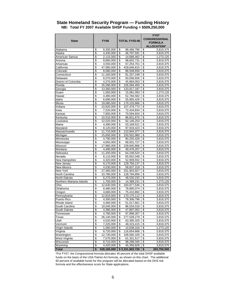| \$<br>\$<br>Alabama<br>8,300,000<br>\$<br>88,466,796<br>3,819,375<br>\$<br>\$<br>4,430,000<br>\$<br>46,797,591<br>3,819,375<br>Alaska<br>\$<br>$\overline{\mathcal{E}}$<br>\$<br>American Samoa<br>2,115,000<br>14,686,462<br>1,273,125<br>\$<br>\$<br>Arizona<br>8,660,000<br>\$<br>98,602,731<br>3,819,375<br>\$<br>\$<br>\$<br>67,254,701<br>Arkansas<br>4,550,000<br>3,819,375<br>\$<br>\$<br>\$<br>California<br>47,580,000<br>429,646,815<br>3,819,375<br>\$<br>\$<br>Colorado<br>8,080,000<br>\$<br>88,508,658<br>3,819,375<br>$\overline{\$}$<br>$\overline{\mathcal{S}}$<br>\$<br>11,160,000<br>81,257,248<br>3,819,375<br>Connecticut<br>\$<br>\$<br>\$<br>Delaware<br>6.070.000<br>50,056,926<br>3,819,375<br>\$<br>\$<br>District of Columbia<br>4,270,000<br>\$<br>45,894,053<br>3,819,375<br>\$<br>\$<br>25,590,000<br>\$<br>Florida<br>226,594,450<br>3,819,375<br>\$<br>\$<br>\$<br>Georgia<br>13,360,000<br>133,817,187<br>3,819,375<br>$\overline{\$}$<br>\$<br>1,550,000<br>\$<br>1,273,125<br>15,081,093<br>Guam<br>\$<br>\$<br>3,819,375<br>Hawaii<br>4,490,000<br>\$<br>52,784,582<br>\$<br>$\overline{\mathcal{S}}$<br>Idaho<br>6,690,000<br>\$<br>55,955,426<br>3,819,375<br>\$<br>\$<br>\$<br>Illinois<br>19,080,000<br>179,103,886<br>3,819,375<br>\$<br>\$<br>\$<br>107,479,773<br>Indiana<br>10,820,000<br>3,819,375<br>$\overline{\$}$<br>$\overline{\$}$<br>7,520,000<br>\$<br>72,434,834<br>3,819,375<br>lowa<br>\$<br>\$<br>Kansas<br>7,850,000<br>\$<br>70,594,934<br>3,819,375<br>\$<br>\$<br>10,510,000<br>\$<br>3,819,375<br>Kentucky<br>86,831,675<br>\$<br>\$<br>\$<br>12,020,000<br>92,146,253<br>3,819,375<br>Louisiana<br>\$<br>\$<br>\$<br>Maine<br>4,390,000<br>53,169,521<br>3,819,375<br>$\overline{\$}$<br>\$<br>\$<br>Maryland<br>8.120.000<br>97,918,423<br>3,819,375<br>\$<br>\$<br>Massachusetts<br>11,710,000<br>\$<br>110,944,377<br>3,819,375<br>\$<br>\$<br>Michigan<br>15,650,000<br>\$<br>150,552,980<br>3,819,375<br>\$<br>\$<br>\$<br>90,255,426<br>3,819,375<br>Minnesota<br>4,790,000<br>\$<br>\$<br>4,650,000<br>\$<br>68,931,727<br>3,819,375<br>Mississippi<br>\$<br>\$<br>17,980,000<br>\$<br>109,845,866<br>3,819,375<br>Missouri<br>\$<br>\$<br>\$<br>Montana<br>49,476,207<br>4,490,000<br>3,819,375<br>\$<br>\$<br>Nebraska<br>11,200,000<br>\$<br>64,248,520<br>3,819,375<br>\$<br>\$<br>\$<br>65,652,048<br>Nevada<br>8,110,000<br>3,819,375<br>\$<br>\$<br>New Hampshire<br>4,320,000<br>\$<br>52,909,552<br>3,819,375<br>$\overline{\$}$<br>\$<br>129,756,137<br>New Jersey<br>9,170,000<br>\$<br>3,819,375<br>\$<br>\$<br>\$<br>New Mexico<br>4,530,000<br>58,837,319<br>3,819,375<br>\$<br>\$<br>New York<br>27,460,000<br>\$<br>251,903,927<br>3,819,375<br>\$<br>\$<br>\$<br>North Carolina<br>10,780,000<br>128,794,856<br>3,819,375<br>\$<br>\$<br>North Dakota<br>6,270,000<br>\$<br>48,530,232<br>3,819,375<br>\$<br>\$<br>Northern Mariana Islands<br>1,700,000<br>\$<br>14,389,231<br>1,273,125<br>\$<br>\$<br>Ohio<br>\$<br>12,630,000<br>160,977,546<br>3,819,375<br>\$<br>\$<br>8,480,000<br>\$<br>Oklahoma<br>78,895,074<br>3,819,375<br>\$<br>\$<br>\$<br>Oregon<br>4,680,000<br>75,410,892<br>3,819,375<br>\$<br>\$<br>12,810,000<br>\$<br>170, 175, 112<br>Pennsylvania<br>3,819,375<br>\$<br>$\frac{1}{2}$<br>78,306,796<br>3,819,375<br>4,300,000<br>Puerto Rico<br>\$<br>\$<br>\$<br>4,460,000<br>51,017,661<br>3,819,375<br>Rhode Island<br>\$<br>South Carolina<br>10,040,000<br>86,534,018<br>\$<br>3,819,375<br>\$<br>\$<br>\$<br>South Dakota<br>4,380,000<br>\$<br>47,897,052<br>3,819,375<br>\$<br>\$<br>4,780,000<br>\$<br>97,898,357<br>3,819,375<br>Tennessee<br>\$<br>\$<br>26,140,000<br>277,028,279<br>\$<br>3,819,375<br>Texas<br>\$<br>\$<br>Utah<br>4,520,000<br>\$<br>63,395,325<br>3,819,375<br>\$<br>Vermont<br>\$<br>7,220,000<br>\$<br>49,315,415<br>3,819,375<br>\$<br>Virgin Islands<br>\$<br>1,560,000<br>\$<br>14,638,316<br>1,273,125<br>\$<br>\$<br>Virginia<br>8,720,000<br>\$<br>3,819,375<br>116,654,666<br>\$<br>Washington<br>12,730,000<br>\$<br>\$<br>108,560,105<br>3,819,375<br>West Virginia<br>\$<br>\$<br>7,570,000<br>\$<br>61,331,517<br>3,819,375<br>\$<br>Wisconsin<br>8,710,000<br>\$<br>98,298,345<br>\$<br>3,819,375<br>\$<br>Wyoming<br>4,420,000<br>\$<br>45,356,826<br>\$<br>3,819,375<br>$\overline{\$}$<br><b>Total</b><br>528,165,000   \$5,331,803,726<br>203,700,000<br>-\$ | <b>State</b> | <b>FY06</b> |  | <b>TOTAL FY03-06</b> |  | <b>FY07</b><br><b>CONGRESSIONAL</b><br><b>FORMULA</b><br><b>ALLOCATION*</b> |  |
|-------------------------------------------------------------------------------------------------------------------------------------------------------------------------------------------------------------------------------------------------------------------------------------------------------------------------------------------------------------------------------------------------------------------------------------------------------------------------------------------------------------------------------------------------------------------------------------------------------------------------------------------------------------------------------------------------------------------------------------------------------------------------------------------------------------------------------------------------------------------------------------------------------------------------------------------------------------------------------------------------------------------------------------------------------------------------------------------------------------------------------------------------------------------------------------------------------------------------------------------------------------------------------------------------------------------------------------------------------------------------------------------------------------------------------------------------------------------------------------------------------------------------------------------------------------------------------------------------------------------------------------------------------------------------------------------------------------------------------------------------------------------------------------------------------------------------------------------------------------------------------------------------------------------------------------------------------------------------------------------------------------------------------------------------------------------------------------------------------------------------------------------------------------------------------------------------------------------------------------------------------------------------------------------------------------------------------------------------------------------------------------------------------------------------------------------------------------------------------------------------------------------------------------------------------------------------------------------------------------------------------------------------------------------------------------------------------------------------------------------------------------------------------------------------------------------------------------------------------------------------------------------------------------------------------------------------------------------------------------------------------------------------------------------------------------------------------------------------------------------------------------------------------------------------------------------------------------------------------------------------------------------------------------------------------------------------------------------------------------------------------------------------------------------------------------------------------------------------------------------------------------------------------------------------------------------------------------------------------------------------------------------------------------------------------------------------------------------------------------------------------------------------------------------------------------------------------------------------------------------------------------------------------------------------------------------------------------------------------------------------------------------------------------------------------------------------------------------------------------------------------------------------------------------------------------------------------------------------------------------------------------------------------------------------------------------------------------------------------------------------------------------------------------------------------|--------------|-------------|--|----------------------|--|-----------------------------------------------------------------------------|--|
|                                                                                                                                                                                                                                                                                                                                                                                                                                                                                                                                                                                                                                                                                                                                                                                                                                                                                                                                                                                                                                                                                                                                                                                                                                                                                                                                                                                                                                                                                                                                                                                                                                                                                                                                                                                                                                                                                                                                                                                                                                                                                                                                                                                                                                                                                                                                                                                                                                                                                                                                                                                                                                                                                                                                                                                                                                                                                                                                                                                                                                                                                                                                                                                                                                                                                                                                                                                                                                                                                                                                                                                                                                                                                                                                                                                                                                                                                                                                                                                                                                                                                                                                                                                                                                                                                                                                                                                                                               |              |             |  |                      |  |                                                                             |  |
|                                                                                                                                                                                                                                                                                                                                                                                                                                                                                                                                                                                                                                                                                                                                                                                                                                                                                                                                                                                                                                                                                                                                                                                                                                                                                                                                                                                                                                                                                                                                                                                                                                                                                                                                                                                                                                                                                                                                                                                                                                                                                                                                                                                                                                                                                                                                                                                                                                                                                                                                                                                                                                                                                                                                                                                                                                                                                                                                                                                                                                                                                                                                                                                                                                                                                                                                                                                                                                                                                                                                                                                                                                                                                                                                                                                                                                                                                                                                                                                                                                                                                                                                                                                                                                                                                                                                                                                                                               |              |             |  |                      |  |                                                                             |  |
|                                                                                                                                                                                                                                                                                                                                                                                                                                                                                                                                                                                                                                                                                                                                                                                                                                                                                                                                                                                                                                                                                                                                                                                                                                                                                                                                                                                                                                                                                                                                                                                                                                                                                                                                                                                                                                                                                                                                                                                                                                                                                                                                                                                                                                                                                                                                                                                                                                                                                                                                                                                                                                                                                                                                                                                                                                                                                                                                                                                                                                                                                                                                                                                                                                                                                                                                                                                                                                                                                                                                                                                                                                                                                                                                                                                                                                                                                                                                                                                                                                                                                                                                                                                                                                                                                                                                                                                                                               |              |             |  |                      |  |                                                                             |  |
|                                                                                                                                                                                                                                                                                                                                                                                                                                                                                                                                                                                                                                                                                                                                                                                                                                                                                                                                                                                                                                                                                                                                                                                                                                                                                                                                                                                                                                                                                                                                                                                                                                                                                                                                                                                                                                                                                                                                                                                                                                                                                                                                                                                                                                                                                                                                                                                                                                                                                                                                                                                                                                                                                                                                                                                                                                                                                                                                                                                                                                                                                                                                                                                                                                                                                                                                                                                                                                                                                                                                                                                                                                                                                                                                                                                                                                                                                                                                                                                                                                                                                                                                                                                                                                                                                                                                                                                                                               |              |             |  |                      |  |                                                                             |  |
|                                                                                                                                                                                                                                                                                                                                                                                                                                                                                                                                                                                                                                                                                                                                                                                                                                                                                                                                                                                                                                                                                                                                                                                                                                                                                                                                                                                                                                                                                                                                                                                                                                                                                                                                                                                                                                                                                                                                                                                                                                                                                                                                                                                                                                                                                                                                                                                                                                                                                                                                                                                                                                                                                                                                                                                                                                                                                                                                                                                                                                                                                                                                                                                                                                                                                                                                                                                                                                                                                                                                                                                                                                                                                                                                                                                                                                                                                                                                                                                                                                                                                                                                                                                                                                                                                                                                                                                                                               |              |             |  |                      |  |                                                                             |  |
|                                                                                                                                                                                                                                                                                                                                                                                                                                                                                                                                                                                                                                                                                                                                                                                                                                                                                                                                                                                                                                                                                                                                                                                                                                                                                                                                                                                                                                                                                                                                                                                                                                                                                                                                                                                                                                                                                                                                                                                                                                                                                                                                                                                                                                                                                                                                                                                                                                                                                                                                                                                                                                                                                                                                                                                                                                                                                                                                                                                                                                                                                                                                                                                                                                                                                                                                                                                                                                                                                                                                                                                                                                                                                                                                                                                                                                                                                                                                                                                                                                                                                                                                                                                                                                                                                                                                                                                                                               |              |             |  |                      |  |                                                                             |  |
|                                                                                                                                                                                                                                                                                                                                                                                                                                                                                                                                                                                                                                                                                                                                                                                                                                                                                                                                                                                                                                                                                                                                                                                                                                                                                                                                                                                                                                                                                                                                                                                                                                                                                                                                                                                                                                                                                                                                                                                                                                                                                                                                                                                                                                                                                                                                                                                                                                                                                                                                                                                                                                                                                                                                                                                                                                                                                                                                                                                                                                                                                                                                                                                                                                                                                                                                                                                                                                                                                                                                                                                                                                                                                                                                                                                                                                                                                                                                                                                                                                                                                                                                                                                                                                                                                                                                                                                                                               |              |             |  |                      |  |                                                                             |  |
|                                                                                                                                                                                                                                                                                                                                                                                                                                                                                                                                                                                                                                                                                                                                                                                                                                                                                                                                                                                                                                                                                                                                                                                                                                                                                                                                                                                                                                                                                                                                                                                                                                                                                                                                                                                                                                                                                                                                                                                                                                                                                                                                                                                                                                                                                                                                                                                                                                                                                                                                                                                                                                                                                                                                                                                                                                                                                                                                                                                                                                                                                                                                                                                                                                                                                                                                                                                                                                                                                                                                                                                                                                                                                                                                                                                                                                                                                                                                                                                                                                                                                                                                                                                                                                                                                                                                                                                                                               |              |             |  |                      |  |                                                                             |  |
|                                                                                                                                                                                                                                                                                                                                                                                                                                                                                                                                                                                                                                                                                                                                                                                                                                                                                                                                                                                                                                                                                                                                                                                                                                                                                                                                                                                                                                                                                                                                                                                                                                                                                                                                                                                                                                                                                                                                                                                                                                                                                                                                                                                                                                                                                                                                                                                                                                                                                                                                                                                                                                                                                                                                                                                                                                                                                                                                                                                                                                                                                                                                                                                                                                                                                                                                                                                                                                                                                                                                                                                                                                                                                                                                                                                                                                                                                                                                                                                                                                                                                                                                                                                                                                                                                                                                                                                                                               |              |             |  |                      |  |                                                                             |  |
|                                                                                                                                                                                                                                                                                                                                                                                                                                                                                                                                                                                                                                                                                                                                                                                                                                                                                                                                                                                                                                                                                                                                                                                                                                                                                                                                                                                                                                                                                                                                                                                                                                                                                                                                                                                                                                                                                                                                                                                                                                                                                                                                                                                                                                                                                                                                                                                                                                                                                                                                                                                                                                                                                                                                                                                                                                                                                                                                                                                                                                                                                                                                                                                                                                                                                                                                                                                                                                                                                                                                                                                                                                                                                                                                                                                                                                                                                                                                                                                                                                                                                                                                                                                                                                                                                                                                                                                                                               |              |             |  |                      |  |                                                                             |  |
|                                                                                                                                                                                                                                                                                                                                                                                                                                                                                                                                                                                                                                                                                                                                                                                                                                                                                                                                                                                                                                                                                                                                                                                                                                                                                                                                                                                                                                                                                                                                                                                                                                                                                                                                                                                                                                                                                                                                                                                                                                                                                                                                                                                                                                                                                                                                                                                                                                                                                                                                                                                                                                                                                                                                                                                                                                                                                                                                                                                                                                                                                                                                                                                                                                                                                                                                                                                                                                                                                                                                                                                                                                                                                                                                                                                                                                                                                                                                                                                                                                                                                                                                                                                                                                                                                                                                                                                                                               |              |             |  |                      |  |                                                                             |  |
|                                                                                                                                                                                                                                                                                                                                                                                                                                                                                                                                                                                                                                                                                                                                                                                                                                                                                                                                                                                                                                                                                                                                                                                                                                                                                                                                                                                                                                                                                                                                                                                                                                                                                                                                                                                                                                                                                                                                                                                                                                                                                                                                                                                                                                                                                                                                                                                                                                                                                                                                                                                                                                                                                                                                                                                                                                                                                                                                                                                                                                                                                                                                                                                                                                                                                                                                                                                                                                                                                                                                                                                                                                                                                                                                                                                                                                                                                                                                                                                                                                                                                                                                                                                                                                                                                                                                                                                                                               |              |             |  |                      |  |                                                                             |  |
|                                                                                                                                                                                                                                                                                                                                                                                                                                                                                                                                                                                                                                                                                                                                                                                                                                                                                                                                                                                                                                                                                                                                                                                                                                                                                                                                                                                                                                                                                                                                                                                                                                                                                                                                                                                                                                                                                                                                                                                                                                                                                                                                                                                                                                                                                                                                                                                                                                                                                                                                                                                                                                                                                                                                                                                                                                                                                                                                                                                                                                                                                                                                                                                                                                                                                                                                                                                                                                                                                                                                                                                                                                                                                                                                                                                                                                                                                                                                                                                                                                                                                                                                                                                                                                                                                                                                                                                                                               |              |             |  |                      |  |                                                                             |  |
|                                                                                                                                                                                                                                                                                                                                                                                                                                                                                                                                                                                                                                                                                                                                                                                                                                                                                                                                                                                                                                                                                                                                                                                                                                                                                                                                                                                                                                                                                                                                                                                                                                                                                                                                                                                                                                                                                                                                                                                                                                                                                                                                                                                                                                                                                                                                                                                                                                                                                                                                                                                                                                                                                                                                                                                                                                                                                                                                                                                                                                                                                                                                                                                                                                                                                                                                                                                                                                                                                                                                                                                                                                                                                                                                                                                                                                                                                                                                                                                                                                                                                                                                                                                                                                                                                                                                                                                                                               |              |             |  |                      |  |                                                                             |  |
|                                                                                                                                                                                                                                                                                                                                                                                                                                                                                                                                                                                                                                                                                                                                                                                                                                                                                                                                                                                                                                                                                                                                                                                                                                                                                                                                                                                                                                                                                                                                                                                                                                                                                                                                                                                                                                                                                                                                                                                                                                                                                                                                                                                                                                                                                                                                                                                                                                                                                                                                                                                                                                                                                                                                                                                                                                                                                                                                                                                                                                                                                                                                                                                                                                                                                                                                                                                                                                                                                                                                                                                                                                                                                                                                                                                                                                                                                                                                                                                                                                                                                                                                                                                                                                                                                                                                                                                                                               |              |             |  |                      |  |                                                                             |  |
|                                                                                                                                                                                                                                                                                                                                                                                                                                                                                                                                                                                                                                                                                                                                                                                                                                                                                                                                                                                                                                                                                                                                                                                                                                                                                                                                                                                                                                                                                                                                                                                                                                                                                                                                                                                                                                                                                                                                                                                                                                                                                                                                                                                                                                                                                                                                                                                                                                                                                                                                                                                                                                                                                                                                                                                                                                                                                                                                                                                                                                                                                                                                                                                                                                                                                                                                                                                                                                                                                                                                                                                                                                                                                                                                                                                                                                                                                                                                                                                                                                                                                                                                                                                                                                                                                                                                                                                                                               |              |             |  |                      |  |                                                                             |  |
|                                                                                                                                                                                                                                                                                                                                                                                                                                                                                                                                                                                                                                                                                                                                                                                                                                                                                                                                                                                                                                                                                                                                                                                                                                                                                                                                                                                                                                                                                                                                                                                                                                                                                                                                                                                                                                                                                                                                                                                                                                                                                                                                                                                                                                                                                                                                                                                                                                                                                                                                                                                                                                                                                                                                                                                                                                                                                                                                                                                                                                                                                                                                                                                                                                                                                                                                                                                                                                                                                                                                                                                                                                                                                                                                                                                                                                                                                                                                                                                                                                                                                                                                                                                                                                                                                                                                                                                                                               |              |             |  |                      |  |                                                                             |  |
|                                                                                                                                                                                                                                                                                                                                                                                                                                                                                                                                                                                                                                                                                                                                                                                                                                                                                                                                                                                                                                                                                                                                                                                                                                                                                                                                                                                                                                                                                                                                                                                                                                                                                                                                                                                                                                                                                                                                                                                                                                                                                                                                                                                                                                                                                                                                                                                                                                                                                                                                                                                                                                                                                                                                                                                                                                                                                                                                                                                                                                                                                                                                                                                                                                                                                                                                                                                                                                                                                                                                                                                                                                                                                                                                                                                                                                                                                                                                                                                                                                                                                                                                                                                                                                                                                                                                                                                                                               |              |             |  |                      |  |                                                                             |  |
|                                                                                                                                                                                                                                                                                                                                                                                                                                                                                                                                                                                                                                                                                                                                                                                                                                                                                                                                                                                                                                                                                                                                                                                                                                                                                                                                                                                                                                                                                                                                                                                                                                                                                                                                                                                                                                                                                                                                                                                                                                                                                                                                                                                                                                                                                                                                                                                                                                                                                                                                                                                                                                                                                                                                                                                                                                                                                                                                                                                                                                                                                                                                                                                                                                                                                                                                                                                                                                                                                                                                                                                                                                                                                                                                                                                                                                                                                                                                                                                                                                                                                                                                                                                                                                                                                                                                                                                                                               |              |             |  |                      |  |                                                                             |  |
|                                                                                                                                                                                                                                                                                                                                                                                                                                                                                                                                                                                                                                                                                                                                                                                                                                                                                                                                                                                                                                                                                                                                                                                                                                                                                                                                                                                                                                                                                                                                                                                                                                                                                                                                                                                                                                                                                                                                                                                                                                                                                                                                                                                                                                                                                                                                                                                                                                                                                                                                                                                                                                                                                                                                                                                                                                                                                                                                                                                                                                                                                                                                                                                                                                                                                                                                                                                                                                                                                                                                                                                                                                                                                                                                                                                                                                                                                                                                                                                                                                                                                                                                                                                                                                                                                                                                                                                                                               |              |             |  |                      |  |                                                                             |  |
|                                                                                                                                                                                                                                                                                                                                                                                                                                                                                                                                                                                                                                                                                                                                                                                                                                                                                                                                                                                                                                                                                                                                                                                                                                                                                                                                                                                                                                                                                                                                                                                                                                                                                                                                                                                                                                                                                                                                                                                                                                                                                                                                                                                                                                                                                                                                                                                                                                                                                                                                                                                                                                                                                                                                                                                                                                                                                                                                                                                                                                                                                                                                                                                                                                                                                                                                                                                                                                                                                                                                                                                                                                                                                                                                                                                                                                                                                                                                                                                                                                                                                                                                                                                                                                                                                                                                                                                                                               |              |             |  |                      |  |                                                                             |  |
|                                                                                                                                                                                                                                                                                                                                                                                                                                                                                                                                                                                                                                                                                                                                                                                                                                                                                                                                                                                                                                                                                                                                                                                                                                                                                                                                                                                                                                                                                                                                                                                                                                                                                                                                                                                                                                                                                                                                                                                                                                                                                                                                                                                                                                                                                                                                                                                                                                                                                                                                                                                                                                                                                                                                                                                                                                                                                                                                                                                                                                                                                                                                                                                                                                                                                                                                                                                                                                                                                                                                                                                                                                                                                                                                                                                                                                                                                                                                                                                                                                                                                                                                                                                                                                                                                                                                                                                                                               |              |             |  |                      |  |                                                                             |  |
|                                                                                                                                                                                                                                                                                                                                                                                                                                                                                                                                                                                                                                                                                                                                                                                                                                                                                                                                                                                                                                                                                                                                                                                                                                                                                                                                                                                                                                                                                                                                                                                                                                                                                                                                                                                                                                                                                                                                                                                                                                                                                                                                                                                                                                                                                                                                                                                                                                                                                                                                                                                                                                                                                                                                                                                                                                                                                                                                                                                                                                                                                                                                                                                                                                                                                                                                                                                                                                                                                                                                                                                                                                                                                                                                                                                                                                                                                                                                                                                                                                                                                                                                                                                                                                                                                                                                                                                                                               |              |             |  |                      |  |                                                                             |  |
|                                                                                                                                                                                                                                                                                                                                                                                                                                                                                                                                                                                                                                                                                                                                                                                                                                                                                                                                                                                                                                                                                                                                                                                                                                                                                                                                                                                                                                                                                                                                                                                                                                                                                                                                                                                                                                                                                                                                                                                                                                                                                                                                                                                                                                                                                                                                                                                                                                                                                                                                                                                                                                                                                                                                                                                                                                                                                                                                                                                                                                                                                                                                                                                                                                                                                                                                                                                                                                                                                                                                                                                                                                                                                                                                                                                                                                                                                                                                                                                                                                                                                                                                                                                                                                                                                                                                                                                                                               |              |             |  |                      |  |                                                                             |  |
|                                                                                                                                                                                                                                                                                                                                                                                                                                                                                                                                                                                                                                                                                                                                                                                                                                                                                                                                                                                                                                                                                                                                                                                                                                                                                                                                                                                                                                                                                                                                                                                                                                                                                                                                                                                                                                                                                                                                                                                                                                                                                                                                                                                                                                                                                                                                                                                                                                                                                                                                                                                                                                                                                                                                                                                                                                                                                                                                                                                                                                                                                                                                                                                                                                                                                                                                                                                                                                                                                                                                                                                                                                                                                                                                                                                                                                                                                                                                                                                                                                                                                                                                                                                                                                                                                                                                                                                                                               |              |             |  |                      |  |                                                                             |  |
|                                                                                                                                                                                                                                                                                                                                                                                                                                                                                                                                                                                                                                                                                                                                                                                                                                                                                                                                                                                                                                                                                                                                                                                                                                                                                                                                                                                                                                                                                                                                                                                                                                                                                                                                                                                                                                                                                                                                                                                                                                                                                                                                                                                                                                                                                                                                                                                                                                                                                                                                                                                                                                                                                                                                                                                                                                                                                                                                                                                                                                                                                                                                                                                                                                                                                                                                                                                                                                                                                                                                                                                                                                                                                                                                                                                                                                                                                                                                                                                                                                                                                                                                                                                                                                                                                                                                                                                                                               |              |             |  |                      |  |                                                                             |  |
|                                                                                                                                                                                                                                                                                                                                                                                                                                                                                                                                                                                                                                                                                                                                                                                                                                                                                                                                                                                                                                                                                                                                                                                                                                                                                                                                                                                                                                                                                                                                                                                                                                                                                                                                                                                                                                                                                                                                                                                                                                                                                                                                                                                                                                                                                                                                                                                                                                                                                                                                                                                                                                                                                                                                                                                                                                                                                                                                                                                                                                                                                                                                                                                                                                                                                                                                                                                                                                                                                                                                                                                                                                                                                                                                                                                                                                                                                                                                                                                                                                                                                                                                                                                                                                                                                                                                                                                                                               |              |             |  |                      |  |                                                                             |  |
|                                                                                                                                                                                                                                                                                                                                                                                                                                                                                                                                                                                                                                                                                                                                                                                                                                                                                                                                                                                                                                                                                                                                                                                                                                                                                                                                                                                                                                                                                                                                                                                                                                                                                                                                                                                                                                                                                                                                                                                                                                                                                                                                                                                                                                                                                                                                                                                                                                                                                                                                                                                                                                                                                                                                                                                                                                                                                                                                                                                                                                                                                                                                                                                                                                                                                                                                                                                                                                                                                                                                                                                                                                                                                                                                                                                                                                                                                                                                                                                                                                                                                                                                                                                                                                                                                                                                                                                                                               |              |             |  |                      |  |                                                                             |  |
|                                                                                                                                                                                                                                                                                                                                                                                                                                                                                                                                                                                                                                                                                                                                                                                                                                                                                                                                                                                                                                                                                                                                                                                                                                                                                                                                                                                                                                                                                                                                                                                                                                                                                                                                                                                                                                                                                                                                                                                                                                                                                                                                                                                                                                                                                                                                                                                                                                                                                                                                                                                                                                                                                                                                                                                                                                                                                                                                                                                                                                                                                                                                                                                                                                                                                                                                                                                                                                                                                                                                                                                                                                                                                                                                                                                                                                                                                                                                                                                                                                                                                                                                                                                                                                                                                                                                                                                                                               |              |             |  |                      |  |                                                                             |  |
|                                                                                                                                                                                                                                                                                                                                                                                                                                                                                                                                                                                                                                                                                                                                                                                                                                                                                                                                                                                                                                                                                                                                                                                                                                                                                                                                                                                                                                                                                                                                                                                                                                                                                                                                                                                                                                                                                                                                                                                                                                                                                                                                                                                                                                                                                                                                                                                                                                                                                                                                                                                                                                                                                                                                                                                                                                                                                                                                                                                                                                                                                                                                                                                                                                                                                                                                                                                                                                                                                                                                                                                                                                                                                                                                                                                                                                                                                                                                                                                                                                                                                                                                                                                                                                                                                                                                                                                                                               |              |             |  |                      |  |                                                                             |  |
|                                                                                                                                                                                                                                                                                                                                                                                                                                                                                                                                                                                                                                                                                                                                                                                                                                                                                                                                                                                                                                                                                                                                                                                                                                                                                                                                                                                                                                                                                                                                                                                                                                                                                                                                                                                                                                                                                                                                                                                                                                                                                                                                                                                                                                                                                                                                                                                                                                                                                                                                                                                                                                                                                                                                                                                                                                                                                                                                                                                                                                                                                                                                                                                                                                                                                                                                                                                                                                                                                                                                                                                                                                                                                                                                                                                                                                                                                                                                                                                                                                                                                                                                                                                                                                                                                                                                                                                                                               |              |             |  |                      |  |                                                                             |  |
|                                                                                                                                                                                                                                                                                                                                                                                                                                                                                                                                                                                                                                                                                                                                                                                                                                                                                                                                                                                                                                                                                                                                                                                                                                                                                                                                                                                                                                                                                                                                                                                                                                                                                                                                                                                                                                                                                                                                                                                                                                                                                                                                                                                                                                                                                                                                                                                                                                                                                                                                                                                                                                                                                                                                                                                                                                                                                                                                                                                                                                                                                                                                                                                                                                                                                                                                                                                                                                                                                                                                                                                                                                                                                                                                                                                                                                                                                                                                                                                                                                                                                                                                                                                                                                                                                                                                                                                                                               |              |             |  |                      |  |                                                                             |  |
|                                                                                                                                                                                                                                                                                                                                                                                                                                                                                                                                                                                                                                                                                                                                                                                                                                                                                                                                                                                                                                                                                                                                                                                                                                                                                                                                                                                                                                                                                                                                                                                                                                                                                                                                                                                                                                                                                                                                                                                                                                                                                                                                                                                                                                                                                                                                                                                                                                                                                                                                                                                                                                                                                                                                                                                                                                                                                                                                                                                                                                                                                                                                                                                                                                                                                                                                                                                                                                                                                                                                                                                                                                                                                                                                                                                                                                                                                                                                                                                                                                                                                                                                                                                                                                                                                                                                                                                                                               |              |             |  |                      |  |                                                                             |  |
|                                                                                                                                                                                                                                                                                                                                                                                                                                                                                                                                                                                                                                                                                                                                                                                                                                                                                                                                                                                                                                                                                                                                                                                                                                                                                                                                                                                                                                                                                                                                                                                                                                                                                                                                                                                                                                                                                                                                                                                                                                                                                                                                                                                                                                                                                                                                                                                                                                                                                                                                                                                                                                                                                                                                                                                                                                                                                                                                                                                                                                                                                                                                                                                                                                                                                                                                                                                                                                                                                                                                                                                                                                                                                                                                                                                                                                                                                                                                                                                                                                                                                                                                                                                                                                                                                                                                                                                                                               |              |             |  |                      |  |                                                                             |  |
|                                                                                                                                                                                                                                                                                                                                                                                                                                                                                                                                                                                                                                                                                                                                                                                                                                                                                                                                                                                                                                                                                                                                                                                                                                                                                                                                                                                                                                                                                                                                                                                                                                                                                                                                                                                                                                                                                                                                                                                                                                                                                                                                                                                                                                                                                                                                                                                                                                                                                                                                                                                                                                                                                                                                                                                                                                                                                                                                                                                                                                                                                                                                                                                                                                                                                                                                                                                                                                                                                                                                                                                                                                                                                                                                                                                                                                                                                                                                                                                                                                                                                                                                                                                                                                                                                                                                                                                                                               |              |             |  |                      |  |                                                                             |  |
|                                                                                                                                                                                                                                                                                                                                                                                                                                                                                                                                                                                                                                                                                                                                                                                                                                                                                                                                                                                                                                                                                                                                                                                                                                                                                                                                                                                                                                                                                                                                                                                                                                                                                                                                                                                                                                                                                                                                                                                                                                                                                                                                                                                                                                                                                                                                                                                                                                                                                                                                                                                                                                                                                                                                                                                                                                                                                                                                                                                                                                                                                                                                                                                                                                                                                                                                                                                                                                                                                                                                                                                                                                                                                                                                                                                                                                                                                                                                                                                                                                                                                                                                                                                                                                                                                                                                                                                                                               |              |             |  |                      |  |                                                                             |  |
|                                                                                                                                                                                                                                                                                                                                                                                                                                                                                                                                                                                                                                                                                                                                                                                                                                                                                                                                                                                                                                                                                                                                                                                                                                                                                                                                                                                                                                                                                                                                                                                                                                                                                                                                                                                                                                                                                                                                                                                                                                                                                                                                                                                                                                                                                                                                                                                                                                                                                                                                                                                                                                                                                                                                                                                                                                                                                                                                                                                                                                                                                                                                                                                                                                                                                                                                                                                                                                                                                                                                                                                                                                                                                                                                                                                                                                                                                                                                                                                                                                                                                                                                                                                                                                                                                                                                                                                                                               |              |             |  |                      |  |                                                                             |  |
|                                                                                                                                                                                                                                                                                                                                                                                                                                                                                                                                                                                                                                                                                                                                                                                                                                                                                                                                                                                                                                                                                                                                                                                                                                                                                                                                                                                                                                                                                                                                                                                                                                                                                                                                                                                                                                                                                                                                                                                                                                                                                                                                                                                                                                                                                                                                                                                                                                                                                                                                                                                                                                                                                                                                                                                                                                                                                                                                                                                                                                                                                                                                                                                                                                                                                                                                                                                                                                                                                                                                                                                                                                                                                                                                                                                                                                                                                                                                                                                                                                                                                                                                                                                                                                                                                                                                                                                                                               |              |             |  |                      |  |                                                                             |  |
|                                                                                                                                                                                                                                                                                                                                                                                                                                                                                                                                                                                                                                                                                                                                                                                                                                                                                                                                                                                                                                                                                                                                                                                                                                                                                                                                                                                                                                                                                                                                                                                                                                                                                                                                                                                                                                                                                                                                                                                                                                                                                                                                                                                                                                                                                                                                                                                                                                                                                                                                                                                                                                                                                                                                                                                                                                                                                                                                                                                                                                                                                                                                                                                                                                                                                                                                                                                                                                                                                                                                                                                                                                                                                                                                                                                                                                                                                                                                                                                                                                                                                                                                                                                                                                                                                                                                                                                                                               |              |             |  |                      |  |                                                                             |  |
|                                                                                                                                                                                                                                                                                                                                                                                                                                                                                                                                                                                                                                                                                                                                                                                                                                                                                                                                                                                                                                                                                                                                                                                                                                                                                                                                                                                                                                                                                                                                                                                                                                                                                                                                                                                                                                                                                                                                                                                                                                                                                                                                                                                                                                                                                                                                                                                                                                                                                                                                                                                                                                                                                                                                                                                                                                                                                                                                                                                                                                                                                                                                                                                                                                                                                                                                                                                                                                                                                                                                                                                                                                                                                                                                                                                                                                                                                                                                                                                                                                                                                                                                                                                                                                                                                                                                                                                                                               |              |             |  |                      |  |                                                                             |  |
|                                                                                                                                                                                                                                                                                                                                                                                                                                                                                                                                                                                                                                                                                                                                                                                                                                                                                                                                                                                                                                                                                                                                                                                                                                                                                                                                                                                                                                                                                                                                                                                                                                                                                                                                                                                                                                                                                                                                                                                                                                                                                                                                                                                                                                                                                                                                                                                                                                                                                                                                                                                                                                                                                                                                                                                                                                                                                                                                                                                                                                                                                                                                                                                                                                                                                                                                                                                                                                                                                                                                                                                                                                                                                                                                                                                                                                                                                                                                                                                                                                                                                                                                                                                                                                                                                                                                                                                                                               |              |             |  |                      |  |                                                                             |  |
|                                                                                                                                                                                                                                                                                                                                                                                                                                                                                                                                                                                                                                                                                                                                                                                                                                                                                                                                                                                                                                                                                                                                                                                                                                                                                                                                                                                                                                                                                                                                                                                                                                                                                                                                                                                                                                                                                                                                                                                                                                                                                                                                                                                                                                                                                                                                                                                                                                                                                                                                                                                                                                                                                                                                                                                                                                                                                                                                                                                                                                                                                                                                                                                                                                                                                                                                                                                                                                                                                                                                                                                                                                                                                                                                                                                                                                                                                                                                                                                                                                                                                                                                                                                                                                                                                                                                                                                                                               |              |             |  |                      |  |                                                                             |  |
|                                                                                                                                                                                                                                                                                                                                                                                                                                                                                                                                                                                                                                                                                                                                                                                                                                                                                                                                                                                                                                                                                                                                                                                                                                                                                                                                                                                                                                                                                                                                                                                                                                                                                                                                                                                                                                                                                                                                                                                                                                                                                                                                                                                                                                                                                                                                                                                                                                                                                                                                                                                                                                                                                                                                                                                                                                                                                                                                                                                                                                                                                                                                                                                                                                                                                                                                                                                                                                                                                                                                                                                                                                                                                                                                                                                                                                                                                                                                                                                                                                                                                                                                                                                                                                                                                                                                                                                                                               |              |             |  |                      |  |                                                                             |  |
|                                                                                                                                                                                                                                                                                                                                                                                                                                                                                                                                                                                                                                                                                                                                                                                                                                                                                                                                                                                                                                                                                                                                                                                                                                                                                                                                                                                                                                                                                                                                                                                                                                                                                                                                                                                                                                                                                                                                                                                                                                                                                                                                                                                                                                                                                                                                                                                                                                                                                                                                                                                                                                                                                                                                                                                                                                                                                                                                                                                                                                                                                                                                                                                                                                                                                                                                                                                                                                                                                                                                                                                                                                                                                                                                                                                                                                                                                                                                                                                                                                                                                                                                                                                                                                                                                                                                                                                                                               |              |             |  |                      |  |                                                                             |  |
|                                                                                                                                                                                                                                                                                                                                                                                                                                                                                                                                                                                                                                                                                                                                                                                                                                                                                                                                                                                                                                                                                                                                                                                                                                                                                                                                                                                                                                                                                                                                                                                                                                                                                                                                                                                                                                                                                                                                                                                                                                                                                                                                                                                                                                                                                                                                                                                                                                                                                                                                                                                                                                                                                                                                                                                                                                                                                                                                                                                                                                                                                                                                                                                                                                                                                                                                                                                                                                                                                                                                                                                                                                                                                                                                                                                                                                                                                                                                                                                                                                                                                                                                                                                                                                                                                                                                                                                                                               |              |             |  |                      |  |                                                                             |  |
|                                                                                                                                                                                                                                                                                                                                                                                                                                                                                                                                                                                                                                                                                                                                                                                                                                                                                                                                                                                                                                                                                                                                                                                                                                                                                                                                                                                                                                                                                                                                                                                                                                                                                                                                                                                                                                                                                                                                                                                                                                                                                                                                                                                                                                                                                                                                                                                                                                                                                                                                                                                                                                                                                                                                                                                                                                                                                                                                                                                                                                                                                                                                                                                                                                                                                                                                                                                                                                                                                                                                                                                                                                                                                                                                                                                                                                                                                                                                                                                                                                                                                                                                                                                                                                                                                                                                                                                                                               |              |             |  |                      |  |                                                                             |  |
|                                                                                                                                                                                                                                                                                                                                                                                                                                                                                                                                                                                                                                                                                                                                                                                                                                                                                                                                                                                                                                                                                                                                                                                                                                                                                                                                                                                                                                                                                                                                                                                                                                                                                                                                                                                                                                                                                                                                                                                                                                                                                                                                                                                                                                                                                                                                                                                                                                                                                                                                                                                                                                                                                                                                                                                                                                                                                                                                                                                                                                                                                                                                                                                                                                                                                                                                                                                                                                                                                                                                                                                                                                                                                                                                                                                                                                                                                                                                                                                                                                                                                                                                                                                                                                                                                                                                                                                                                               |              |             |  |                      |  |                                                                             |  |
|                                                                                                                                                                                                                                                                                                                                                                                                                                                                                                                                                                                                                                                                                                                                                                                                                                                                                                                                                                                                                                                                                                                                                                                                                                                                                                                                                                                                                                                                                                                                                                                                                                                                                                                                                                                                                                                                                                                                                                                                                                                                                                                                                                                                                                                                                                                                                                                                                                                                                                                                                                                                                                                                                                                                                                                                                                                                                                                                                                                                                                                                                                                                                                                                                                                                                                                                                                                                                                                                                                                                                                                                                                                                                                                                                                                                                                                                                                                                                                                                                                                                                                                                                                                                                                                                                                                                                                                                                               |              |             |  |                      |  |                                                                             |  |
|                                                                                                                                                                                                                                                                                                                                                                                                                                                                                                                                                                                                                                                                                                                                                                                                                                                                                                                                                                                                                                                                                                                                                                                                                                                                                                                                                                                                                                                                                                                                                                                                                                                                                                                                                                                                                                                                                                                                                                                                                                                                                                                                                                                                                                                                                                                                                                                                                                                                                                                                                                                                                                                                                                                                                                                                                                                                                                                                                                                                                                                                                                                                                                                                                                                                                                                                                                                                                                                                                                                                                                                                                                                                                                                                                                                                                                                                                                                                                                                                                                                                                                                                                                                                                                                                                                                                                                                                                               |              |             |  |                      |  |                                                                             |  |
|                                                                                                                                                                                                                                                                                                                                                                                                                                                                                                                                                                                                                                                                                                                                                                                                                                                                                                                                                                                                                                                                                                                                                                                                                                                                                                                                                                                                                                                                                                                                                                                                                                                                                                                                                                                                                                                                                                                                                                                                                                                                                                                                                                                                                                                                                                                                                                                                                                                                                                                                                                                                                                                                                                                                                                                                                                                                                                                                                                                                                                                                                                                                                                                                                                                                                                                                                                                                                                                                                                                                                                                                                                                                                                                                                                                                                                                                                                                                                                                                                                                                                                                                                                                                                                                                                                                                                                                                                               |              |             |  |                      |  |                                                                             |  |
|                                                                                                                                                                                                                                                                                                                                                                                                                                                                                                                                                                                                                                                                                                                                                                                                                                                                                                                                                                                                                                                                                                                                                                                                                                                                                                                                                                                                                                                                                                                                                                                                                                                                                                                                                                                                                                                                                                                                                                                                                                                                                                                                                                                                                                                                                                                                                                                                                                                                                                                                                                                                                                                                                                                                                                                                                                                                                                                                                                                                                                                                                                                                                                                                                                                                                                                                                                                                                                                                                                                                                                                                                                                                                                                                                                                                                                                                                                                                                                                                                                                                                                                                                                                                                                                                                                                                                                                                                               |              |             |  |                      |  |                                                                             |  |
|                                                                                                                                                                                                                                                                                                                                                                                                                                                                                                                                                                                                                                                                                                                                                                                                                                                                                                                                                                                                                                                                                                                                                                                                                                                                                                                                                                                                                                                                                                                                                                                                                                                                                                                                                                                                                                                                                                                                                                                                                                                                                                                                                                                                                                                                                                                                                                                                                                                                                                                                                                                                                                                                                                                                                                                                                                                                                                                                                                                                                                                                                                                                                                                                                                                                                                                                                                                                                                                                                                                                                                                                                                                                                                                                                                                                                                                                                                                                                                                                                                                                                                                                                                                                                                                                                                                                                                                                                               |              |             |  |                      |  |                                                                             |  |
|                                                                                                                                                                                                                                                                                                                                                                                                                                                                                                                                                                                                                                                                                                                                                                                                                                                                                                                                                                                                                                                                                                                                                                                                                                                                                                                                                                                                                                                                                                                                                                                                                                                                                                                                                                                                                                                                                                                                                                                                                                                                                                                                                                                                                                                                                                                                                                                                                                                                                                                                                                                                                                                                                                                                                                                                                                                                                                                                                                                                                                                                                                                                                                                                                                                                                                                                                                                                                                                                                                                                                                                                                                                                                                                                                                                                                                                                                                                                                                                                                                                                                                                                                                                                                                                                                                                                                                                                                               |              |             |  |                      |  |                                                                             |  |
|                                                                                                                                                                                                                                                                                                                                                                                                                                                                                                                                                                                                                                                                                                                                                                                                                                                                                                                                                                                                                                                                                                                                                                                                                                                                                                                                                                                                                                                                                                                                                                                                                                                                                                                                                                                                                                                                                                                                                                                                                                                                                                                                                                                                                                                                                                                                                                                                                                                                                                                                                                                                                                                                                                                                                                                                                                                                                                                                                                                                                                                                                                                                                                                                                                                                                                                                                                                                                                                                                                                                                                                                                                                                                                                                                                                                                                                                                                                                                                                                                                                                                                                                                                                                                                                                                                                                                                                                                               |              |             |  |                      |  |                                                                             |  |
|                                                                                                                                                                                                                                                                                                                                                                                                                                                                                                                                                                                                                                                                                                                                                                                                                                                                                                                                                                                                                                                                                                                                                                                                                                                                                                                                                                                                                                                                                                                                                                                                                                                                                                                                                                                                                                                                                                                                                                                                                                                                                                                                                                                                                                                                                                                                                                                                                                                                                                                                                                                                                                                                                                                                                                                                                                                                                                                                                                                                                                                                                                                                                                                                                                                                                                                                                                                                                                                                                                                                                                                                                                                                                                                                                                                                                                                                                                                                                                                                                                                                                                                                                                                                                                                                                                                                                                                                                               |              |             |  |                      |  |                                                                             |  |
|                                                                                                                                                                                                                                                                                                                                                                                                                                                                                                                                                                                                                                                                                                                                                                                                                                                                                                                                                                                                                                                                                                                                                                                                                                                                                                                                                                                                                                                                                                                                                                                                                                                                                                                                                                                                                                                                                                                                                                                                                                                                                                                                                                                                                                                                                                                                                                                                                                                                                                                                                                                                                                                                                                                                                                                                                                                                                                                                                                                                                                                                                                                                                                                                                                                                                                                                                                                                                                                                                                                                                                                                                                                                                                                                                                                                                                                                                                                                                                                                                                                                                                                                                                                                                                                                                                                                                                                                                               |              |             |  |                      |  |                                                                             |  |
|                                                                                                                                                                                                                                                                                                                                                                                                                                                                                                                                                                                                                                                                                                                                                                                                                                                                                                                                                                                                                                                                                                                                                                                                                                                                                                                                                                                                                                                                                                                                                                                                                                                                                                                                                                                                                                                                                                                                                                                                                                                                                                                                                                                                                                                                                                                                                                                                                                                                                                                                                                                                                                                                                                                                                                                                                                                                                                                                                                                                                                                                                                                                                                                                                                                                                                                                                                                                                                                                                                                                                                                                                                                                                                                                                                                                                                                                                                                                                                                                                                                                                                                                                                                                                                                                                                                                                                                                                               |              |             |  |                      |  |                                                                             |  |

#### **State Homeland Security Program — Funding History NB: Total FY 2007 Available SHSP Funding = \$509,250,000**

\*For FY07, the Congressional formula allocates 40 percent of the total SHSP available funds on the basis of the USA Patriot Act formula, as shown on this chart. The additional 60 percent of available funds for this program will be allocated based on the DHS risk formula and the effectiveness score for State applications.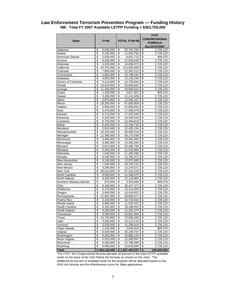| <b>State</b>             | <b>FY06</b>            | <b>TOTAL FY04-06</b>            | <b>FY07</b><br><b>CONGRESSIONAL</b>   |  |
|--------------------------|------------------------|---------------------------------|---------------------------------------|--|
|                          |                        |                                 | <b>FORMULA</b>                        |  |
| Alabama                  | \$<br>6,030,000        | \$<br>20,762,290                | <b>ALLOCATION*</b><br>\$<br>2,728,125 |  |
| Alaska                   | \$                     | \$                              | \$                                    |  |
|                          | 3,230,000              | 11,020,760                      | 2,728,125                             |  |
| American Samoa           | \$                     | \$                              | \$                                    |  |
|                          | 2,530,000              | 4,841,713                       | 909,375                               |  |
| Arizona                  | \$                     | \$                              | \$                                    |  |
|                          | 6,290,000              | 22,859,630                      | 2,728,125                             |  |
| Arkansas                 | $\overline{\$}$        | \$                              | \$                                    |  |
|                          | 3,310,000              | 14,838,073                      | 2,728,125                             |  |
| California               | \$                     | \$                              | \$                                    |  |
|                          | 42,370,000             | 112,655,660                     | 2,728,125                             |  |
| Colorado                 | \$                     | \$                              | \$                                    |  |
|                          | 7,600,000              | 22,392,512                      | 2,728,125                             |  |
| Connecticut              | \$                     | \$                              | \$                                    |  |
|                          | 1,850,000              | 14,738,181                      | 2,728,125                             |  |
| Delaware                 | \$                     | \$                              | \$                                    |  |
|                          | 4,050,000              | 12,140,246                      | 2,728,125                             |  |
| District of Columbia     | \$                     | \$                              | \$                                    |  |
|                          | 3,110,000              | 10,759,656                      | 2,728,125                             |  |
| Florida                  | \$                     | \$                              | \$                                    |  |
|                          | 18,610,000             | 55,636,891                      | 2,728,125                             |  |
| Georgia                  | \$                     | \$                              | \$                                    |  |
|                          | 11,430,000             | 33,600,613                      | 2,728,125                             |  |
| Guam                     | \$                     | \$                              | \$                                    |  |
|                          | 1,130,000              | 3,617,307                       | 909,375                               |  |
| Hawaii                   | \$                     | \$                              | \$                                    |  |
|                          | 3,260,000              | 12,141,939                      | 2,728,125                             |  |
| Idaho                    | \$                     | \$                              | \$                                    |  |
|                          | 4,870,000              | 13,935,337                      | 2,728,125                             |  |
| Illinois                 | \$                     | \$                              | \$                                    |  |
|                          | 18,200,000             | 47,605,959                      | 2,728,125                             |  |
| Indiana                  | \$                     | \$                              | \$                                    |  |
|                          | 5,090,000              | 22,858,554                      | 2,728,125                             |  |
| lowa                     | \$                     | \$                              | \$                                    |  |
|                          | 5,470,000              | 17,400,576                      | 2,728,125                             |  |
| Kansas                   | \$                     | \$                              | \$                                    |  |
|                          | 5,710,000              | 17,242,340                      | 2,728,125                             |  |
| Kentucky                 | \$                     | \$                              | \$                                    |  |
|                          | $\overline{4,}320,000$ | 18,350,518                      | 2,728,125                             |  |
| Louisiana                | \$                     | \$                              | \$                                    |  |
|                          | 8,740,000              | 23,464,819                      | 2,728,125                             |  |
| Maine                    | \$                     | \$                              | \$                                    |  |
|                          | 3,200,000              | 12,169,735                      | 2,728,125                             |  |
| Maryland                 | \$                     | \$                              | \$                                    |  |
|                          | 5,910,000              | 22.425.154                      | 2,728,125                             |  |
| Massachusetts            | \$                     | \$                              | \$                                    |  |
|                          | 10,240,000             | 28,469,319                      | 2,728,125                             |  |
| Michigan                 | \$                     | \$                              | \$                                    |  |
|                          | 11,390,000             | 36,175,538                      | 2,728,125                             |  |
| Minnesota                | \$                     | \$                              | \$                                    |  |
|                          | 3,490,000              | 19,205,064                      | 2,728,125                             |  |
| Mississippi              | \$                     | \$                              | \$                                    |  |
|                          | 3,390,000              | 15,205,264                      | 2,728,125                             |  |
| Missouri                 | \$                     | \$                              | \$                                    |  |
|                          | 5,610,000              | 22,496,769                      | 2,728,125                             |  |
| Montana                  | \$                     | \$                              | \$                                    |  |
|                          | 3,260,000              | 11,532,894                      | 2,728,125                             |  |
| Nebraska                 | \$                     | \$                              | \$                                    |  |
|                          | 1,540,000              | 11,293,280                      | 2,728,125                             |  |
| Nevada                   | $\overline{\$}$        | \$                              | \$                                    |  |
|                          | 4,180,000              | 14,780,472                      | 2,728,125                             |  |
| New Hampshire            | \$                     | \$                              | \$                                    |  |
|                          | 3,140,000              | 12,075,565                      | 2,728,125                             |  |
| New Jersey               | \$                     | \$                              | \$                                    |  |
|                          | 7,540,000              | 29,705,232                      | 2,728,125                             |  |
| New Mexico               | \$                     | \$                              | \$                                    |  |
|                          | 3,290,000              | 13,278,571                      | 2,728,125                             |  |
| New York                 | \$                     | \$                              | \$                                    |  |
|                          | 26,010,000             | 67,233,155                      | 2,728,125                             |  |
| North Carolina           | \$                     | \$                              | \$                                    |  |
|                          | 9,560,000              | 31,268,675                      | 2,728,125                             |  |
| North Dakota             | \$                     | \$                              | \$                                    |  |
|                          | 4,350,000              | 12,118,993                      | 2,728,125                             |  |
| Northern Mariana Islands | \$                     | \$                              | \$                                    |  |
|                          | 970,000                | 3,303,084                       | 909,375                               |  |
| Ohio                     | $\overline{\$}$        | \$                              | \$                                    |  |
|                          | 9,180,000              | 36,427,471                      | 2,728,125                             |  |
| Oklahoma                 | \$                     | \$                              | \$                                    |  |
|                          | 6,170,000              | 19,114,300                      | 2,728,125                             |  |
| Oregon                   | \$                     | \$                              | \$                                    |  |
|                          | 3,400,000              | 16,410,052                      | 2,728,125                             |  |
| Pennsylvania             | \$                     | \$                              | \$                                    |  |
|                          | 11,050,000             | 39,959,677                      | 2,728,125                             |  |
| Puerto Rico              | \$                     | \$                              | \$                                    |  |
|                          | 3,130,000              | 16,734,562                      | 2,728,125                             |  |
| Rhode Island             | \$                     | \$                              | \$                                    |  |
|                          | 2,960,000              | 11,520,422                      | 2,728,125                             |  |
| South Carolina           | \$                     | \$                              | \$                                    |  |
|                          | 4,100,000              | 18,168,552                      | 2,728,125                             |  |
| South Dakota             | $\overline{\$}$        | \$                              | $\overline{\boldsymbol{\epsilon}}$    |  |
|                          | 3,180,000              | 11, 181, 474                    | 2,728,125                             |  |
| Tennessee                | \$                     | \$                              | \$                                    |  |
|                          | 3,480,000              | 20,601,584                      | 2,728,125                             |  |
| Texas                    | \$                     | \$                              | \$                                    |  |
|                          | 24,740,000             | 70,936,283                      | 2,728,125                             |  |
| Utah                     | \$                     | \$                              | \$                                    |  |
|                          | 3,280,000              | 14,113,118                      | 2,728,125                             |  |
| Vermont                  | \$                     | \$                              | \$                                    |  |
|                          | 3,520,000              | 11,259,424                      | 2,728,125                             |  |
| Virgin Islands           | \$                     | \$                              | \$                                    |  |
|                          | 1,130,000              | 3,534,024                       | 909,375                               |  |
| Virginia                 | \$                     | \$                              | \$                                    |  |
|                          | 6,340,000              | 26,199,787                      | 2,728,125                             |  |
| Washington               | \$                     | \$                              | \$                                    |  |
|                          | 9,260,000              | 26,886,129                      | 2,728,125                             |  |
| West Virginia            | \$                     | \$                              | \$                                    |  |
|                          | 5,510,000              | 15,393,097                      | 2,728,125                             |  |
| Wisconsin                | \$<br>6,330,000        | \$<br>22,798,398<br>10,616,846  | \$<br>2,728,125                       |  |
| Wyoming                  | \$<br>3,090,000        | \$                              | \$<br>2,728,125                       |  |
| <b>Total</b>             |                        | $$384,120,000$ $$1,267,455,537$ | 145,500,000<br>\$                     |  |

#### **Law Enforcement Terrorism Prevention Program — Funding History NB: Total FY 2007 Available LETPP Funding = \$363,750,000**

\*For FY07, the Congressional formula allocates 40 percent of the total LETPP available funds on the basis of the USA Patriot Act formula, as shown on this chart. The additional 60 percent of available funds for this program will be allocated based on the DHS risk formula and the effectiveness score for State applications.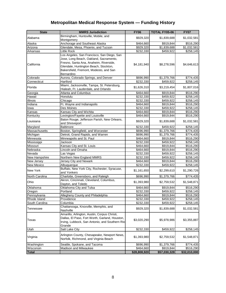# **Metropolitan Medical Response System — Funding History**

| <b>State</b>   | <b>MMRS Jurisdiction</b>                                      | <b>FY06</b>  | <b>TOTAL FY05-06</b> | <b>FY07</b>           |
|----------------|---------------------------------------------------------------|--------------|----------------------|-----------------------|
| Alabama        | Birmingham, Huntsville, Mobile, and                           | \$929,320    | \$1,839,688          | \$1,032,581           |
| Alaska         | Montgomery<br>Anchorage and Southeast Alaska                  | \$464,660    | \$919,844            | \$516,290             |
| Arizona        | Glendale, Mesa, Phoenix, and Tucson                           | \$929,320    | \$1,839,688          | \$1,032,581           |
| Arkansas       | Little Rock                                                   | \$232,330    | \$459,922            | \$258,145             |
|                | Los Angeles, San Francisco, San Diego, San                    |              |                      |                       |
|                | Jose, Long Beach, Oakland, Sacramento,                        |              |                      |                       |
|                | Fresno, Santa Ana, Anaheim, Riverside,                        |              |                      |                       |
| California     | Glendale, Huntington Beach, Stockton,                         | \$4,181,940  | \$8,278,596          | \$4,646,613           |
|                | Bakersfield, Fremont, Modesto, and San                        |              |                      |                       |
|                | Bernardino                                                    |              |                      |                       |
| Colorado       | Aurora, Colorado Springs, and Denver                          | \$696,990    | \$1,379,766          | \$774,435             |
| Connecticut    | Hartford                                                      | \$232,330    | \$459,922            | \$258,145             |
| Florida        | Miami, Jacksonville, Tampa, St. Petersburg,                   | \$1,626,310  | \$3,219,454          | \$1,807,016           |
|                | Hialeah, Ft. Lauderdale, and Orlando                          |              |                      |                       |
| Georgia        | Atlanta and Columbus                                          | \$464,660    | \$919,844            | \$516,290             |
| Hawaii         | Honolulu                                                      | \$232,330    | \$459,922            | \$258,145             |
| Illinois       | Chicago                                                       | \$232,330    | \$459,922            | \$258,145             |
| Indiana        | Ft. Wayne and Indianapolis                                    | \$464,660    | \$919,844            | \$516,290             |
| lowa           | Des Moines                                                    | \$232,330    | \$459,922            | \$258,145             |
| Kansas         | Kansas City and Wichita                                       | \$464,660    | \$919,844            | \$516,290             |
| Kentucky       | Lexington/Fayette and Louisville                              | \$464,660    | \$919,844            | \$516,290             |
| Louisiana      | Baton Rouge, Jefferson Parish, New Orleans,<br>and Shreveport | \$929,320    | \$1,839,688          | \$1,032,581           |
| Maryland       | <b>Baltimore</b>                                              | \$232,330    | \$459,922            | \$258,145             |
| Massachusetts  | Boston, Springfield, and Worcester                            | \$696,990    | \$1,379,766          | \$774,435             |
| Michigan       | Detroit, Grand Rapids, and Warren                             | \$696,990    | \$1,379,766          | \$774,435             |
| Minnesota      | Minneapolis and St. Paul                                      | \$464,660    | \$919,844            | \$516,290             |
| Mississippi    | Jackson                                                       | \$232,330    | \$459,922            | $\overline{$}258,145$ |
| Missouri       | Kansas City and St. Louis                                     | \$464,660    | \$919,844            | \$516,290             |
| Nebraska       | Lincoln and Omaha                                             | \$464,660    | \$919,844            | \$516,290             |
| Nevada         | Las Vegas                                                     | \$232,330    | \$459,922            | \$258,145             |
| New Hampshire  | Northern New England MMRS                                     | \$232,330    | \$459,922            | \$258,145             |
| New Jersey     | Jersey City and Newark                                        | \$464,660    | \$919,844            | \$516,290             |
| New Mexico     | Albuquerque                                                   | \$232,330    | \$459,922            | \$258,145             |
| New York       | Buffalo, New York City, Rochester, Syracuse,<br>and Yonkers   | \$1,161,650  | \$2,299,610          | \$1,290,726           |
| North Carolina | Charlotte, Greensboro, and Raleigh                            | \$696,990    | \$1,379,766          | \$774,435             |
| Ohio           | Akron, Cincinnati, Cleveland, Columbus,                       | \$1,393,980  | \$2,759,532          |                       |
|                | Dayton, and Toledo                                            |              |                      | \$1,548,871           |
| Oklahoma       | Oklahoma City and Tulsa                                       | \$464,660    | \$919,844            | \$516,290             |
| Oregon         | Portland                                                      | \$232,330    | \$459,922            | \$258,145             |
| Pennsylvania   | Allegheny County and Philadelphia                             | \$464,660    | \$919,844            | \$516,290             |
| Rhode Island   | Providence                                                    | \$232,330    | \$459,922            | \$258,145             |
| South Carolina | Columbia                                                      | \$232,330    | \$459,922            | \$258,145             |
| Tennessee      | Chattanooga, Knoxville, Memphis, and<br>Nashville             | \$929,320    | \$1,839,688          | \$1,032,581           |
|                | Amarillo, Arlington, Austin, Corpus Christi,                  |              |                      |                       |
|                | Dallas, El Paso, Fort Worth, Garland, Houston,                |              | \$5,978,986          | \$3,355,887           |
| Texas          | Irving, Lubbock, San Antonio, and Southern Rio                | \$3,020,290  |                      |                       |
|                | Grande                                                        |              |                      |                       |
| Utah           | Salt Lake City                                                | \$232,330    | \$459,922            | \$258,145             |
|                | Arlington County, Chesapeake, Newport News,                   |              |                      | \$1,548,871           |
| Virginia       | Norfolk, Richmond, and Virginia Beach                         | \$1,393,980  | \$2,759,532          |                       |
| Washington     | Seattle, Spokane, and Tacoma                                  | \$696,990    | \$1,379,766          | \$774,435             |
| Wisconsin      | Madison and Milwaukee                                         | \$464,660    | \$919,844            | \$516,290             |
| <b>Total</b>   |                                                               | \$28,808,920 | \$57,030,328         | \$32,010,000          |